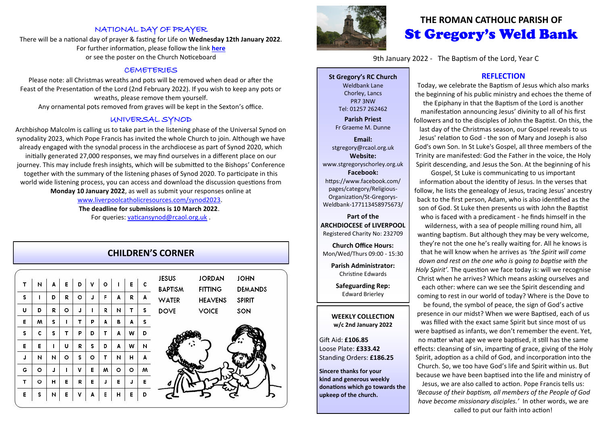## NATIONAL DAY OF PRAYER

There will be a national day of prayer & fasting for Life on **Wednesday 12th January 2022**. For further information, please follow the link **[here](http://www.goodcounselnetwork.com)** or see the poster on the Church Noticeboard

#### CEMETERIES

Please note: all Christmas wreaths and pots will be removed when dead or after the Feast of the Presentation of the Lord (2nd February 2022). If you wish to keep any pots or wreaths, please remove them yourself.

Any ornamental pots removed from graves will be kept in the Sexton's office.

### UNIVERSAL SYNOD

Archbishop Malcolm is calling us to take part in the listening phase of the Universal Synod on synodality 2023, which Pope Francis has invited the whole Church to join. Although we have already engaged with the synodal process in the archdiocese as part of Synod 2020, which initially generated 27,000 responses, we may find ourselves in a different place on our journey. This may include fresh insights, which will be submitted to the Bishops' Conference together with the summary of the listening phases of Synod 2020. To participate in this world wide listening process, you can access and download the discussion questions from **Monday 10 January 2022**, as well as submit your responses online at [www.liverpoolcatholicresources.com/synod2023.](www.liverpoolcatholicresources.com/synod2023)

> **The deadline for submissions is 10 March 2022**. For queries: [vaticansynod@rcaol.org.uk](mailto:vaticansynod@rcaol.org.uk) .

|   |   |   |   |   |   |   |   |   |   | <b>CHILDREN'S CORNER</b>       |
|---|---|---|---|---|---|---|---|---|---|--------------------------------|
| т | и | A | E | D | ٧ | ۰ | ı | E | c | <b>JESUS</b><br><b>BAPTISM</b> |
| s | ı | D | R | ۰ | J | F | A | R | A | <b>WATER</b>                   |
| U | D | R | ۰ | J | ı | R | и | т | s | <b>DOVE</b>                    |
| Е | w | s | T | т | P | A | В | А | s |                                |
| s | c | s | т | P | D | т | A | w | D |                                |
| Е | E | ı | U | R | s | D | A | W | И |                                |
| J | и | И | ۰ | s | ۰ | т | И | н | A |                                |
| G | o | J | ı | ٧ | E | w | o | ۰ | w |                                |
| T | ۰ | н | Е | R | E | J | E | J | E |                                |
| E | s | N | E | v | A | Е | н | E | D |                                |







# **THE ROMAN CATHOLIC PARISH OF** St Gregory's Weld Bank

9th January 2022 - The Baptism of the Lord, Year C

**St Gregory's RC Church** Weldbank Lane Chorley, Lancs PR7 3NW Tel: 01257 262462

**Parish Priest** Fr Graeme M. Dunne

**Email:** stgregory@rcaol.org.uk **Website:** www.stgregoryschorley.org.uk **Facebook:** https://www.facebook.com/ pages/category/Religious-Organization/St-Gregorys-Weldbank-177113458975673/

**Part of the ARCHDIOCESE of LIVERPOOL**  Registered Charity No: 232709

**Church Office Hours:** Mon/Wed/Thurs 09:00 - 15:30

**Parish Administrator:** Christine Edwards

**Safeguarding Rep:** Edward Brierley

#### **WEEKLY COLLECTION w/c 2nd January 2022**

Gift Aid: **£106.85** Loose Plate: **£333.42** Standing Orders: **£186.25**

**Sincere thanks for your kind and generous weekly donations which go towards the upkeep of the church.** 

### **REFLECTION**

Today, we celebrate the Baptism of Jesus which also marks the beginning of his public ministry and echoes the theme of the Epiphany in that the Baptism of the Lord is another manifestation announcing Jesus' divinity to all of his first followers and to the disciples of John the Baptist. On this, the last day of the Christmas season, our Gospel reveals to us Jesus' relation to God - the son of Mary and Joseph is also God's own Son. In St Luke's Gospel, all three members of the Trinity are manifested: God the Father in the voice, the Holy Spirit descending, and Jesus the Son. At the beginning of his

Gospel, St Luke is communicating to us important information about the identity of Jesus. In the verses that follow, he lists the genealogy of Jesus, tracing Jesus' ancestry back to the first person, Adam, who is also identified as the son of God. St Luke then presents us with John the Baptist who is faced with a predicament - he finds himself in the

wilderness, with a sea of people milling round him, all wanting baptism. But although they may be very welcome, they're not the one he's really waiting for. All he knows is that he will know when he arrives as *'the Spirit will come down and rest on the one who is going to baptise with the Holy Spirit'.* The question we face today is: will we recognise Christ when he arrives? Which means asking ourselves and each other: where can we see the Spirit descending and coming to rest in our world of today? Where is the Dove to

be found, the symbol of peace, the sign of God's active presence in our midst? When we were Baptised, each of us was filled with the exact same Spirit but since most of us were baptised as infants, we don't remember the event. Yet, no matter what age we were baptised, it still has the same effects: cleansing of sin, imparting of grace, giving of the Holy Spirit, adoption as a child of God, and incorporation into the Church. So, we too have God's life and Spirit within us. But because we have been baptised into the life and ministry of Jesus, we are also called to action. Pope Francis tells us:

*'Because of their baptism, all members of the People of God have become missionary disciples.'* In other words, we are called to put our faith into action!